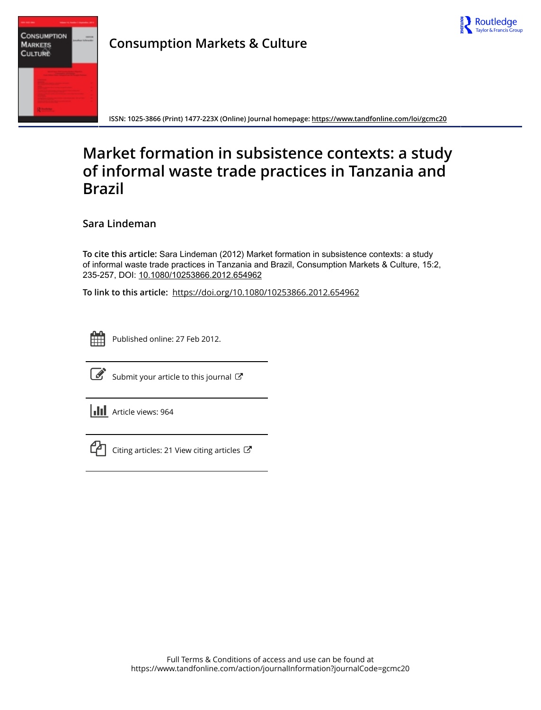

| ---- | <b>CONSUMPTION</b><br><b>MARKETS</b><br><b>CULTURE</b> | estimate in a recordere il departmente a cate of |  |
|------|--------------------------------------------------------|--------------------------------------------------|--|
|      |                                                        |                                                  |  |

**Consumption Markets & Culture**

**ISSN: 1025-3866 (Print) 1477-223X (Online) Journal homepage: <https://www.tandfonline.com/loi/gcmc20>**

# **Market formation in subsistence contexts: a study of informal waste trade practices in Tanzania and Brazil**

**Sara Lindeman**

**To cite this article:** Sara Lindeman (2012) Market formation in subsistence contexts: a study of informal waste trade practices in Tanzania and Brazil, Consumption Markets & Culture, 15:2, 235-257, DOI: [10.1080/10253866.2012.654962](https://www.tandfonline.com/action/showCitFormats?doi=10.1080/10253866.2012.654962)

**To link to this article:** <https://doi.org/10.1080/10253866.2012.654962>



Published online: 27 Feb 2012.



 $\overrightarrow{S}$  [Submit your article to this journal](https://www.tandfonline.com/action/authorSubmission?journalCode=gcmc20&show=instructions)  $\overrightarrow{S}$ 





 $\mathbb{C}$  [Citing articles: 21 View citing articles](https://www.tandfonline.com/doi/citedby/10.1080/10253866.2012.654962#tabModule)  $\mathbb{C}$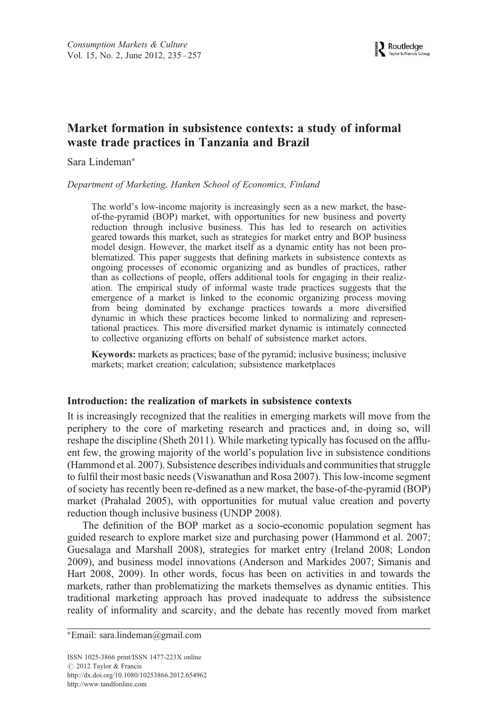# Market formation in subsistence contexts: a study of informal waste trade practices in Tanzania and Brazil

Sara Lindeman<sup>∗</sup>

Department of Marketing, Hanken School of Economics, Finland

The world's low-income majority is increasingly seen as a new market, the baseof-the-pyramid (BOP) market, with opportunities for new business and poverty reduction through inclusive business. This has led to research on activities geared towards this market, such as strategies for market entry and BOP business model design. However, the market itself as a dynamic entity has not been problematized. This paper suggests that defining markets in subsistence contexts as ongoing processes of economic organizing and as bundles of practices, rather than as collections of people, offers additional tools for engaging in their realization. The empirical study of informal waste trade practices suggests that the emergence of a market is linked to the economic organizing process moving from being dominated by exchange practices towards a more diversified dynamic in which these practices become linked to normalizing and representational practices. This more diversified market dynamic is intimately connected to collective organizing efforts on behalf of subsistence market actors.

Keywords: markets as practices; base of the pyramid; inclusive business; inclusive markets; market creation; calculation; subsistence marketplaces

# Introduction: the realization of markets in subsistence contexts

It is increasingly recognized that the realities in emerging markets will move from the periphery to the core of marketing research and practices and, in doing so, will reshape the discipline (Sheth 2011). While marketing typically has focused on the affluent few, the growing majority of the world's population live in subsistence conditions (Hammond et al. 2007). Subsistence describes individuals and communities that struggle to fulfil their most basic needs (Viswanathan and Rosa 2007). This low-income segment of society has recently been re-defined as a new market, the base-of-the-pyramid (BOP) market (Prahalad 2005), with opportunities for mutual value creation and poverty reduction though inclusive business (UNDP 2008).

The definition of the BOP market as a socio-economic population segment has guided research to explore market size and purchasing power (Hammond et al. 2007; Guesalaga and Marshall 2008), strategies for market entry (Ireland 2008; London 2009), and business model innovations (Anderson and Markides 2007; Simanis and Hart 2008, 2009). In other words, focus has been on activities in and towards the markets, rather than problematizing the markets themselves as dynamic entities. This traditional marketing approach has proved inadequate to address the subsistence reality of informality and scarcity, and the debate has recently moved from market

<sup>∗</sup>Email: sara.lindeman@gmail.com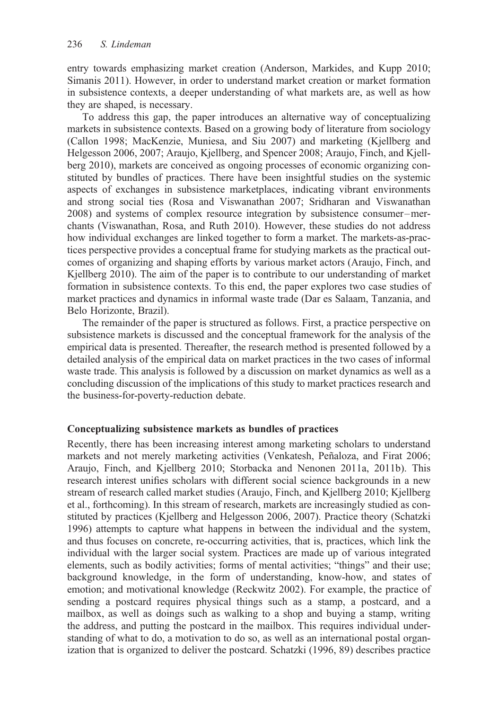entry towards emphasizing market creation (Anderson, Markides, and Kupp 2010; Simanis 2011). However, in order to understand market creation or market formation in subsistence contexts, a deeper understanding of what markets are, as well as how they are shaped, is necessary.

To address this gap, the paper introduces an alternative way of conceptualizing markets in subsistence contexts. Based on a growing body of literature from sociology (Callon 1998; MacKenzie, Muniesa, and Siu 2007) and marketing (Kjellberg and Helgesson 2006, 2007; Araujo, Kjellberg, and Spencer 2008; Araujo, Finch, and Kjellberg 2010), markets are conceived as ongoing processes of economic organizing constituted by bundles of practices. There have been insightful studies on the systemic aspects of exchanges in subsistence marketplaces, indicating vibrant environments and strong social ties (Rosa and Viswanathan 2007; Sridharan and Viswanathan 2008) and systems of complex resource integration by subsistence consumer–merchants (Viswanathan, Rosa, and Ruth 2010). However, these studies do not address how individual exchanges are linked together to form a market. The markets-as-practices perspective provides a conceptual frame for studying markets as the practical outcomes of organizing and shaping efforts by various market actors (Araujo, Finch, and Kjellberg 2010). The aim of the paper is to contribute to our understanding of market formation in subsistence contexts. To this end, the paper explores two case studies of market practices and dynamics in informal waste trade (Dar es Salaam, Tanzania, and Belo Horizonte, Brazil).

The remainder of the paper is structured as follows. First, a practice perspective on subsistence markets is discussed and the conceptual framework for the analysis of the empirical data is presented. Thereafter, the research method is presented followed by a detailed analysis of the empirical data on market practices in the two cases of informal waste trade. This analysis is followed by a discussion on market dynamics as well as a concluding discussion of the implications of this study to market practices research and the business-for-poverty-reduction debate.

# Conceptualizing subsistence markets as bundles of practices

Recently, there has been increasing interest among marketing scholars to understand markets and not merely marketing activities (Venkatesh, Peñaloza, and Firat 2006; Araujo, Finch, and Kjellberg 2010; Storbacka and Nenonen 2011a, 2011b). This research interest unifies scholars with different social science backgrounds in a new stream of research called market studies (Araujo, Finch, and Kjellberg 2010; Kjellberg et al., forthcoming). In this stream of research, markets are increasingly studied as constituted by practices (Kjellberg and Helgesson 2006, 2007). Practice theory (Schatzki 1996) attempts to capture what happens in between the individual and the system, and thus focuses on concrete, re-occurring activities, that is, practices, which link the individual with the larger social system. Practices are made up of various integrated elements, such as bodily activities; forms of mental activities; "things" and their use; background knowledge, in the form of understanding, know-how, and states of emotion; and motivational knowledge (Reckwitz 2002). For example, the practice of sending a postcard requires physical things such as a stamp, a postcard, and a mailbox, as well as doings such as walking to a shop and buying a stamp, writing the address, and putting the postcard in the mailbox. This requires individual understanding of what to do, a motivation to do so, as well as an international postal organization that is organized to deliver the postcard. Schatzki (1996, 89) describes practice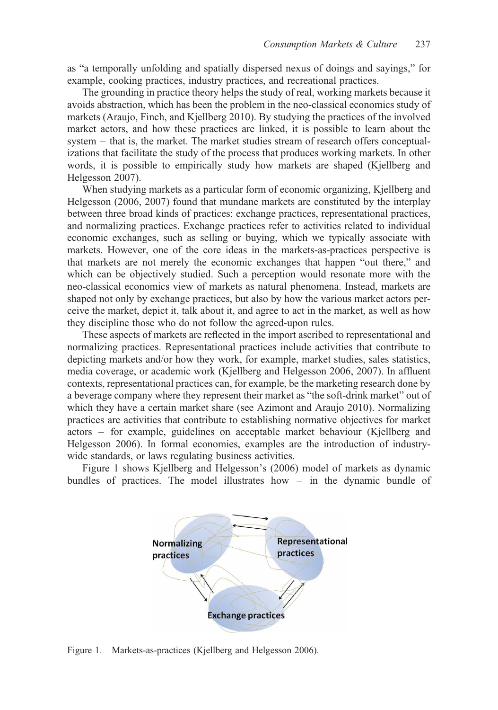as "a temporally unfolding and spatially dispersed nexus of doings and sayings," for example, cooking practices, industry practices, and recreational practices.

The grounding in practice theory helps the study of real, working markets because it avoids abstraction, which has been the problem in the neo-classical economics study of markets (Araujo, Finch, and Kjellberg 2010). By studying the practices of the involved market actors, and how these practices are linked, it is possible to learn about the system – that is, the market. The market studies stream of research offers conceptualizations that facilitate the study of the process that produces working markets. In other words, it is possible to empirically study how markets are shaped (Kjellberg and Helgesson 2007).

When studying markets as a particular form of economic organizing, Kjellberg and Helgesson (2006, 2007) found that mundane markets are constituted by the interplay between three broad kinds of practices: exchange practices, representational practices, and normalizing practices. Exchange practices refer to activities related to individual economic exchanges, such as selling or buying, which we typically associate with markets. However, one of the core ideas in the markets-as-practices perspective is that markets are not merely the economic exchanges that happen "out there," and which can be objectively studied. Such a perception would resonate more with the neo-classical economics view of markets as natural phenomena. Instead, markets are shaped not only by exchange practices, but also by how the various market actors perceive the market, depict it, talk about it, and agree to act in the market, as well as how they discipline those who do not follow the agreed-upon rules.

These aspects of markets are reflected in the import ascribed to representational and normalizing practices. Representational practices include activities that contribute to depicting markets and/or how they work, for example, market studies, sales statistics, media coverage, or academic work (Kjellberg and Helgesson 2006, 2007). In affluent contexts, representational practices can, for example, be the marketing research done by a beverage company where they represent their market as "the soft-drink market" out of which they have a certain market share (see Azimont and Araujo 2010). Normalizing practices are activities that contribute to establishing normative objectives for market actors – for example, guidelines on acceptable market behaviour (Kjellberg and Helgesson 2006). In formal economies, examples are the introduction of industrywide standards, or laws regulating business activities.

Figure 1 shows Kjellberg and Helgesson's (2006) model of markets as dynamic bundles of practices. The model illustrates how – in the dynamic bundle of



Figure 1. Markets-as-practices (Kjellberg and Helgesson 2006).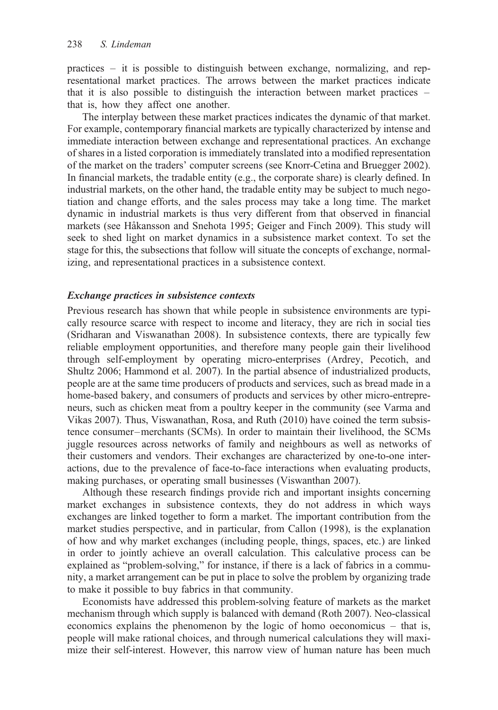practices – it is possible to distinguish between exchange, normalizing, and representational market practices. The arrows between the market practices indicate that it is also possible to distinguish the interaction between market practices – that is, how they affect one another.

The interplay between these market practices indicates the dynamic of that market. For example, contemporary financial markets are typically characterized by intense and immediate interaction between exchange and representational practices. An exchange of shares in a listed corporation is immediately translated into a modified representation of the market on the traders' computer screens (see Knorr-Cetina and Bruegger 2002). In financial markets, the tradable entity (e.g., the corporate share) is clearly defined. In industrial markets, on the other hand, the tradable entity may be subject to much negotiation and change efforts, and the sales process may take a long time. The market dynamic in industrial markets is thus very different from that observed in financial markets (see Håkansson and Snehota 1995; Geiger and Finch 2009). This study will seek to shed light on market dynamics in a subsistence market context. To set the stage for this, the subsections that follow will situate the concepts of exchange, normalizing, and representational practices in a subsistence context.

### Exchange practices in subsistence contexts

Previous research has shown that while people in subsistence environments are typically resource scarce with respect to income and literacy, they are rich in social ties (Sridharan and Viswanathan 2008). In subsistence contexts, there are typically few reliable employment opportunities, and therefore many people gain their livelihood through self-employment by operating micro-enterprises (Ardrey, Pecotich, and Shultz 2006; Hammond et al. 2007). In the partial absence of industrialized products, people are at the same time producers of products and services, such as bread made in a home-based bakery, and consumers of products and services by other micro-entrepreneurs, such as chicken meat from a poultry keeper in the community (see Varma and Vikas 2007). Thus, Viswanathan, Rosa, and Ruth (2010) have coined the term subsistence consumer–merchants (SCMs). In order to maintain their livelihood, the SCMs juggle resources across networks of family and neighbours as well as networks of their customers and vendors. Their exchanges are characterized by one-to-one interactions, due to the prevalence of face-to-face interactions when evaluating products, making purchases, or operating small businesses (Viswanthan 2007).

Although these research findings provide rich and important insights concerning market exchanges in subsistence contexts, they do not address in which ways exchanges are linked together to form a market. The important contribution from the market studies perspective, and in particular, from Callon (1998), is the explanation of how and why market exchanges (including people, things, spaces, etc.) are linked in order to jointly achieve an overall calculation. This calculative process can be explained as "problem-solving," for instance, if there is a lack of fabrics in a community, a market arrangement can be put in place to solve the problem by organizing trade to make it possible to buy fabrics in that community.

Economists have addressed this problem-solving feature of markets as the market mechanism through which supply is balanced with demand (Roth 2007). Neo-classical economics explains the phenomenon by the logic of homo oeconomicus – that is, people will make rational choices, and through numerical calculations they will maximize their self-interest. However, this narrow view of human nature has been much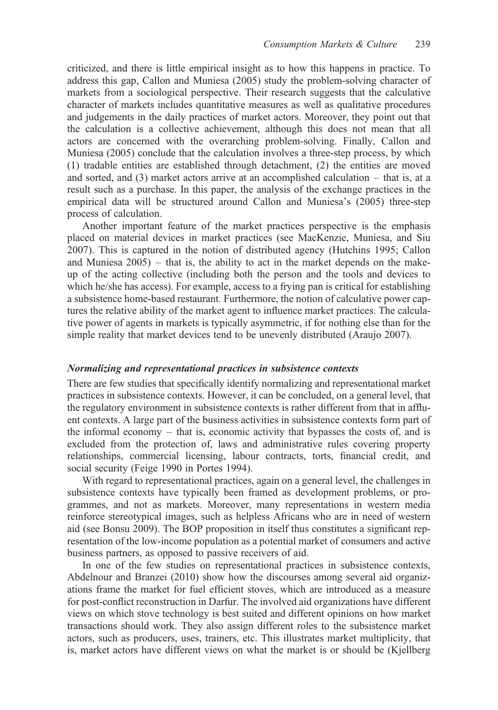criticized, and there is little empirical insight as to how this happens in practice. To address this gap, Callon and Muniesa (2005) study the problem-solving character of markets from a sociological perspective. Their research suggests that the calculative character of markets includes quantitative measures as well as qualitative procedures and judgements in the daily practices of market actors. Moreover, they point out that the calculation is a collective achievement, although this does not mean that all actors are concerned with the overarching problem-solving. Finally, Callon and Muniesa (2005) conclude that the calculation involves a three-step process, by which (1) tradable entities are established through detachment, (2) the entities are moved and sorted, and (3) market actors arrive at an accomplished calculation – that is, at a result such as a purchase. In this paper, the analysis of the exchange practices in the empirical data will be structured around Callon and Muniesa's (2005) three-step process of calculation.

Another important feature of the market practices perspective is the emphasis placed on material devices in market practices (see MacKenzie, Muniesa, and Siu 2007). This is captured in the notion of distributed agency (Hutchins 1995; Callon and Muniesa  $2005$ ) – that is, the ability to act in the market depends on the makeup of the acting collective (including both the person and the tools and devices to which he/she has access). For example, access to a frying pan is critical for establishing a subsistence home-based restaurant. Furthermore, the notion of calculative power captures the relative ability of the market agent to influence market practices. The calculative power of agents in markets is typically asymmetric, if for nothing else than for the simple reality that market devices tend to be unevenly distributed (Araujo 2007).

#### Normalizing and representational practices in subsistence contexts

There are few studies that specifically identify normalizing and representational market practices in subsistence contexts. However, it can be concluded, on a general level, that the regulatory environment in subsistence contexts is rather different from that in affluent contexts. A large part of the business activities in subsistence contexts form part of the informal economy – that is, economic activity that bypasses the costs of, and is excluded from the protection of, laws and administrative rules covering property relationships, commercial licensing, labour contracts, torts, financial credit, and social security (Feige 1990 in Portes 1994).

With regard to representational practices, again on a general level, the challenges in subsistence contexts have typically been framed as development problems, or programmes, and not as markets. Moreover, many representations in western media reinforce stereotypical images, such as helpless Africans who are in need of western aid (see Bonsu 2009). The BOP proposition in itself thus constitutes a significant representation of the low-income population as a potential market of consumers and active business partners, as opposed to passive receivers of aid.

In one of the few studies on representational practices in subsistence contexts, Abdelnour and Branzei (2010) show how the discourses among several aid organizations frame the market for fuel efficient stoves, which are introduced as a measure for post-conflict reconstruction in Darfur. The involved aid organizations have different views on which stove technology is best suited and different opinions on how market transactions should work. They also assign different roles to the subsistence market actors, such as producers, uses, trainers, etc. This illustrates market multiplicity, that is, market actors have different views on what the market is or should be (Kjellberg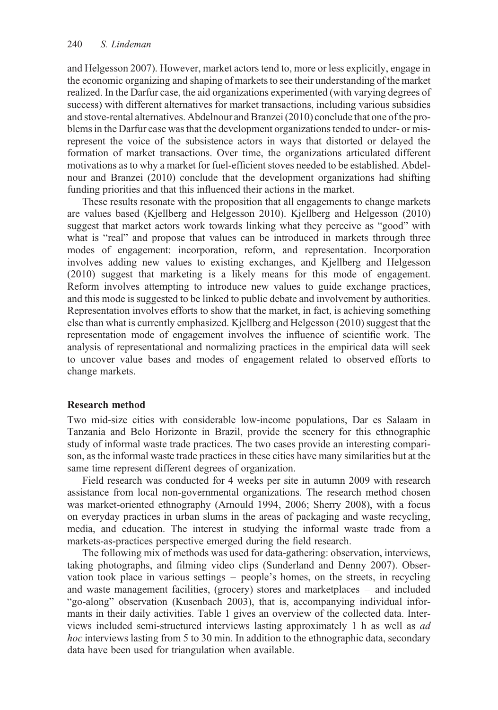and Helgesson 2007). However, market actors tend to, more or less explicitly, engage in the economic organizing and shaping of markets to see their understanding of the market realized. In the Darfur case, the aid organizations experimented (with varying degrees of success) with different alternatives for market transactions, including various subsidies and stove-rental alternatives. Abdelnour and Branzei (2010) conclude that one of the problems in the Darfur case was that the development organizations tended to under- or misrepresent the voice of the subsistence actors in ways that distorted or delayed the formation of market transactions. Over time, the organizations articulated different motivations as to why a market for fuel-efficient stoves needed to be established. Abdelnour and Branzei (2010) conclude that the development organizations had shifting funding priorities and that this influenced their actions in the market.

These results resonate with the proposition that all engagements to change markets are values based (Kjellberg and Helgesson 2010). Kjellberg and Helgesson (2010) suggest that market actors work towards linking what they perceive as "good" with what is "real" and propose that values can be introduced in markets through three modes of engagement: incorporation, reform, and representation. Incorporation involves adding new values to existing exchanges, and Kjellberg and Helgesson (2010) suggest that marketing is a likely means for this mode of engagement. Reform involves attempting to introduce new values to guide exchange practices, and this mode is suggested to be linked to public debate and involvement by authorities. Representation involves efforts to show that the market, in fact, is achieving something else than what is currently emphasized. Kjellberg and Helgesson (2010) suggest that the representation mode of engagement involves the influence of scientific work. The analysis of representational and normalizing practices in the empirical data will seek to uncover value bases and modes of engagement related to observed efforts to change markets.

# Research method

Two mid-size cities with considerable low-income populations, Dar es Salaam in Tanzania and Belo Horizonte in Brazil, provide the scenery for this ethnographic study of informal waste trade practices. The two cases provide an interesting comparison, as the informal waste trade practices in these cities have many similarities but at the same time represent different degrees of organization.

Field research was conducted for 4 weeks per site in autumn 2009 with research assistance from local non-governmental organizations. The research method chosen was market-oriented ethnography (Arnould 1994, 2006; Sherry 2008), with a focus on everyday practices in urban slums in the areas of packaging and waste recycling, media, and education. The interest in studying the informal waste trade from a markets-as-practices perspective emerged during the field research.

The following mix of methods was used for data-gathering: observation, interviews, taking photographs, and filming video clips (Sunderland and Denny 2007). Observation took place in various settings – people's homes, on the streets, in recycling and waste management facilities, (grocery) stores and marketplaces – and included "go-along" observation (Kusenbach 2003), that is, accompanying individual informants in their daily activities. Table 1 gives an overview of the collected data. Interviews included semi-structured interviews lasting approximately 1 h as well as ad hoc interviews lasting from 5 to 30 min. In addition to the ethnographic data, secondary data have been used for triangulation when available.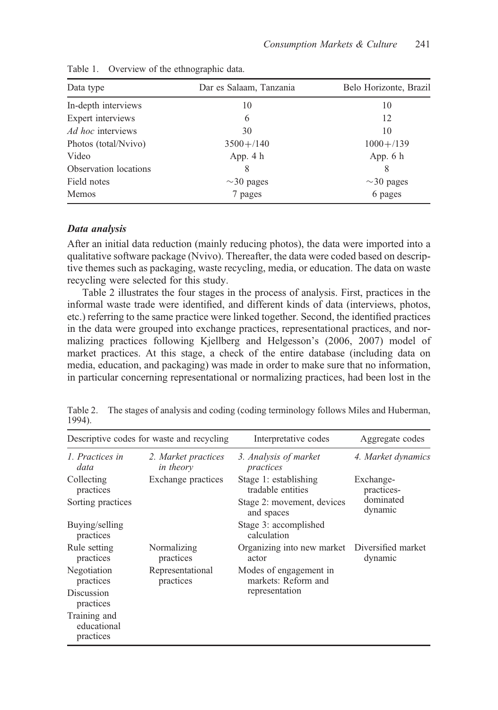| Data type                | Dar es Salaam, Tanzania | Belo Horizonte, Brazil |
|--------------------------|-------------------------|------------------------|
| In-depth interviews      | 10                      | 10                     |
| Expert interviews        | 6                       | 12                     |
| <i>Ad hoc</i> interviews | 30                      | 10                     |
| Photos (total/Nvivo)     | $3500 + / 140$          | $1000 + / 139$         |
| Video                    | App. $4h$               | App. $6h$              |
| Observation locations    | 8                       | 8                      |
| Field notes              | $\sim$ 30 pages         | $\sim$ 30 pages        |
| Memos                    | 7 pages                 | 6 pages                |

|  | Table 1. |  |  |  |  | Overview of the ethnographic data. |  |
|--|----------|--|--|--|--|------------------------------------|--|
|--|----------|--|--|--|--|------------------------------------|--|

#### Data analysis

After an initial data reduction (mainly reducing photos), the data were imported into a qualitative software package (Nvivo). Thereafter, the data were coded based on descriptive themes such as packaging, waste recycling, media, or education. The data on waste recycling were selected for this study.

Table 2 illustrates the four stages in the process of analysis. First, practices in the informal waste trade were identified, and different kinds of data (interviews, photos, etc.) referring to the same practice were linked together. Second, the identified practices in the data were grouped into exchange practices, representational practices, and normalizing practices following Kjellberg and Helgesson's (2006, 2007) model of market practices. At this stage, a check of the entire database (including data on media, education, and packaging) was made in order to make sure that no information, in particular concerning representational or normalizing practices, had been lost in the

|                                          | Descriptive codes for waste and recycling | Interpretative codes                          | Aggregate codes               |  |
|------------------------------------------|-------------------------------------------|-----------------------------------------------|-------------------------------|--|
| 1. Practices in<br>data                  | 2. Market practices<br><i>in theory</i>   | 3. Analysis of market<br>practices            | 4. Market dynamics            |  |
| Collecting<br>practices                  | Exchange practices                        | Stage 1: establishing<br>tradable entities    | Exchange-<br>practices-       |  |
| Sorting practices                        |                                           | Stage 2: movement, devices<br>and spaces      | dominated<br>dynamic          |  |
| Buying/selling<br>practices              |                                           | Stage 3: accomplished<br>calculation          |                               |  |
| Rule setting<br>practices                | Normalizing<br>practices                  | Organizing into new market<br>actor           | Diversified market<br>dynamic |  |
| Negotiation<br>practices                 | Representational<br>practices             | Modes of engagement in<br>markets: Reform and |                               |  |
| Discussion<br>practices                  |                                           | representation                                |                               |  |
| Training and<br>educational<br>practices |                                           |                                               |                               |  |

Table 2. The stages of analysis and coding (coding terminology follows Miles and Huberman, 1994).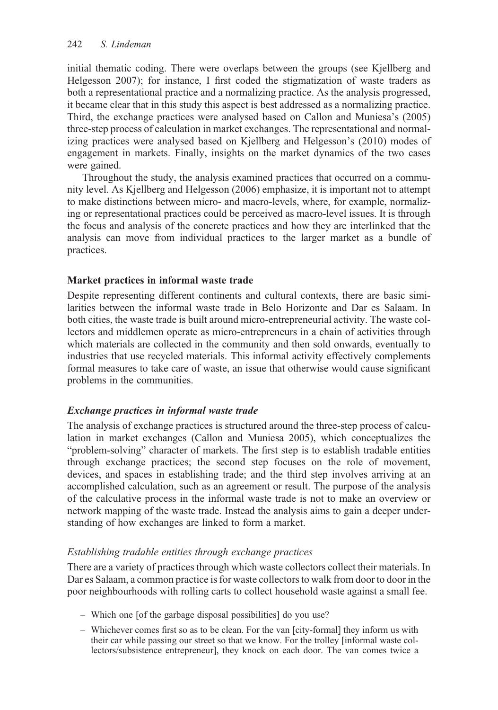initial thematic coding. There were overlaps between the groups (see Kjellberg and Helgesson 2007); for instance, I first coded the stigmatization of waste traders as both a representational practice and a normalizing practice. As the analysis progressed, it became clear that in this study this aspect is best addressed as a normalizing practice. Third, the exchange practices were analysed based on Callon and Muniesa's (2005) three-step process of calculation in market exchanges. The representational and normalizing practices were analysed based on Kjellberg and Helgesson's (2010) modes of engagement in markets. Finally, insights on the market dynamics of the two cases were gained.

Throughout the study, the analysis examined practices that occurred on a community level. As Kjellberg and Helgesson (2006) emphasize, it is important not to attempt to make distinctions between micro- and macro-levels, where, for example, normalizing or representational practices could be perceived as macro-level issues. It is through the focus and analysis of the concrete practices and how they are interlinked that the analysis can move from individual practices to the larger market as a bundle of practices.

# Market practices in informal waste trade

Despite representing different continents and cultural contexts, there are basic similarities between the informal waste trade in Belo Horizonte and Dar es Salaam. In both cities, the waste trade is built around micro-entrepreneurial activity. The waste collectors and middlemen operate as micro-entrepreneurs in a chain of activities through which materials are collected in the community and then sold onwards, eventually to industries that use recycled materials. This informal activity effectively complements formal measures to take care of waste, an issue that otherwise would cause significant problems in the communities.

# Exchange practices in informal waste trade

The analysis of exchange practices is structured around the three-step process of calculation in market exchanges (Callon and Muniesa 2005), which conceptualizes the "problem-solving" character of markets. The first step is to establish tradable entities through exchange practices; the second step focuses on the role of movement, devices, and spaces in establishing trade; and the third step involves arriving at an accomplished calculation, such as an agreement or result. The purpose of the analysis of the calculative process in the informal waste trade is not to make an overview or network mapping of the waste trade. Instead the analysis aims to gain a deeper understanding of how exchanges are linked to form a market.

# Establishing tradable entities through exchange practices

There are a variety of practices through which waste collectors collect their materials. In Dar es Salaam, a common practice is for waste collectors to walk from door to door in the poor neighbourhoods with rolling carts to collect household waste against a small fee.

- Which one [of the garbage disposal possibilities] do you use?
- Whichever comes first so as to be clean. For the van [city-formal] they inform us with their car while passing our street so that we know. For the trolley [informal waste collectors/subsistence entrepreneur], they knock on each door. The van comes twice a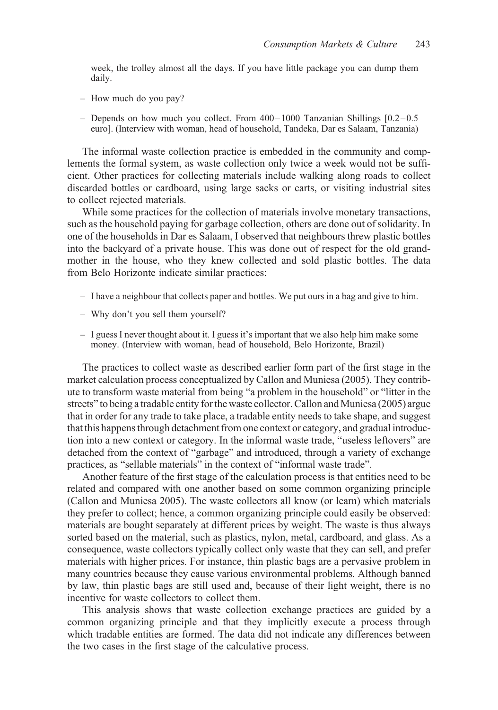week, the trolley almost all the days. If you have little package you can dump them daily.

- How much do you pay?
- Depends on how much you collect. From  $400-1000$  Tanzanian Shillings  $[0.2-0.5]$ euro]. (Interview with woman, head of household, Tandeka, Dar es Salaam, Tanzania)

The informal waste collection practice is embedded in the community and complements the formal system, as waste collection only twice a week would not be sufficient. Other practices for collecting materials include walking along roads to collect discarded bottles or cardboard, using large sacks or carts, or visiting industrial sites to collect rejected materials.

While some practices for the collection of materials involve monetary transactions, such as the household paying for garbage collection, others are done out of solidarity. In one of the households in Dar es Salaam, I observed that neighbours threw plastic bottles into the backyard of a private house. This was done out of respect for the old grandmother in the house, who they knew collected and sold plastic bottles. The data from Belo Horizonte indicate similar practices:

- I have a neighbour that collects paper and bottles. We put ours in a bag and give to him.
- Why don't you sell them yourself?
- I guess I never thought about it. I guess it's important that we also help him make some money. (Interview with woman, head of household, Belo Horizonte, Brazil)

The practices to collect waste as described earlier form part of the first stage in the market calculation process conceptualized by Callon and Muniesa (2005). They contribute to transform waste material from being "a problem in the household" or "litter in the streets" to being a tradable entity for the waste collector. Callon and Muniesa (2005) argue that in order for any trade to take place, a tradable entity needs to take shape, and suggest that this happens through detachment from one context or category, and gradual introduction into a new context or category. In the informal waste trade, "useless leftovers" are detached from the context of "garbage" and introduced, through a variety of exchange practices, as "sellable materials" in the context of "informal waste trade".

Another feature of the first stage of the calculation process is that entities need to be related and compared with one another based on some common organizing principle (Callon and Muniesa 2005). The waste collectors all know (or learn) which materials they prefer to collect; hence, a common organizing principle could easily be observed: materials are bought separately at different prices by weight. The waste is thus always sorted based on the material, such as plastics, nylon, metal, cardboard, and glass. As a consequence, waste collectors typically collect only waste that they can sell, and prefer materials with higher prices. For instance, thin plastic bags are a pervasive problem in many countries because they cause various environmental problems. Although banned by law, thin plastic bags are still used and, because of their light weight, there is no incentive for waste collectors to collect them.

This analysis shows that waste collection exchange practices are guided by a common organizing principle and that they implicitly execute a process through which tradable entities are formed. The data did not indicate any differences between the two cases in the first stage of the calculative process.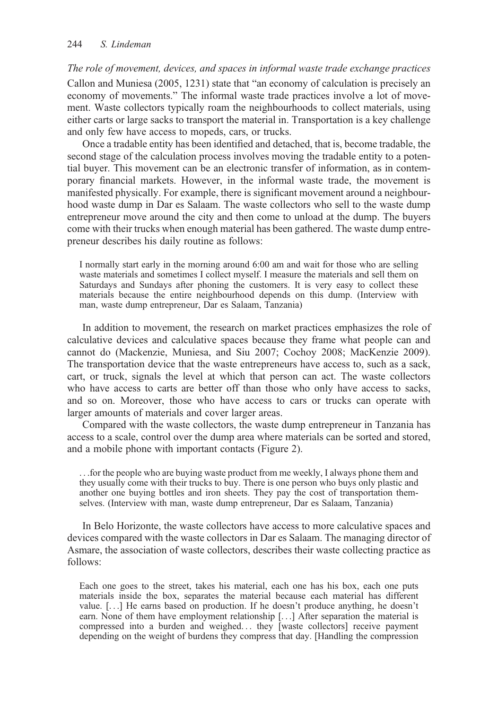The role of movement, devices, and spaces in informal waste trade exchange practices Callon and Muniesa (2005, 1231) state that "an economy of calculation is precisely an economy of movements." The informal waste trade practices involve a lot of movement. Waste collectors typically roam the neighbourhoods to collect materials, using either carts or large sacks to transport the material in. Transportation is a key challenge and only few have access to mopeds, cars, or trucks.

Once a tradable entity has been identified and detached, that is, become tradable, the second stage of the calculation process involves moving the tradable entity to a potential buyer. This movement can be an electronic transfer of information, as in contemporary financial markets. However, in the informal waste trade, the movement is manifested physically. For example, there is significant movement around a neighbourhood waste dump in Dar es Salaam. The waste collectors who sell to the waste dump entrepreneur move around the city and then come to unload at the dump. The buyers come with their trucks when enough material has been gathered. The waste dump entrepreneur describes his daily routine as follows:

I normally start early in the morning around 6:00 am and wait for those who are selling waste materials and sometimes I collect myself. I measure the materials and sell them on Saturdays and Sundays after phoning the customers. It is very easy to collect these materials because the entire neighbourhood depends on this dump. (Interview with man, waste dump entrepreneur, Dar es Salaam, Tanzania)

In addition to movement, the research on market practices emphasizes the role of calculative devices and calculative spaces because they frame what people can and cannot do (Mackenzie, Muniesa, and Siu 2007; Cochoy 2008; MacKenzie 2009). The transportation device that the waste entrepreneurs have access to, such as a sack, cart, or truck, signals the level at which that person can act. The waste collectors who have access to carts are better off than those who only have access to sacks, and so on. Moreover, those who have access to cars or trucks can operate with larger amounts of materials and cover larger areas.

Compared with the waste collectors, the waste dump entrepreneur in Tanzania has access to a scale, control over the dump area where materials can be sorted and stored, and a mobile phone with important contacts (Figure 2).

...for the people who are buying waste product from me weekly, I always phone them and they usually come with their trucks to buy. There is one person who buys only plastic and another one buying bottles and iron sheets. They pay the cost of transportation themselves. (Interview with man, waste dump entrepreneur, Dar es Salaam, Tanzania)

In Belo Horizonte, the waste collectors have access to more calculative spaces and devices compared with the waste collectors in Dar es Salaam. The managing director of Asmare, the association of waste collectors, describes their waste collecting practice as follows:

Each one goes to the street, takes his material, each one has his box, each one puts materials inside the box, separates the material because each material has different value. [...] He earns based on production. If he doesn't produce anything, he doesn't earn. None of them have employment relationship [...] After separation the material is compressed into a burden and weighed... they [waste collectors] receive payment depending on the weight of burdens they compress that day. [Handling the compression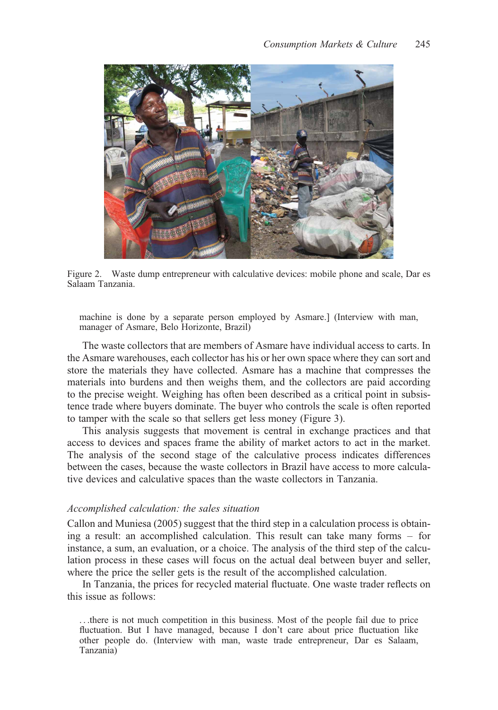

Figure 2. Waste dump entrepreneur with calculative devices: mobile phone and scale, Dar es Salaam Tanzania.

machine is done by a separate person employed by Asmare.] (Interview with man, manager of Asmare, Belo Horizonte, Brazil)

The waste collectors that are members of Asmare have individual access to carts. In the Asmare warehouses, each collector has his or her own space where they can sort and store the materials they have collected. Asmare has a machine that compresses the materials into burdens and then weighs them, and the collectors are paid according to the precise weight. Weighing has often been described as a critical point in subsistence trade where buyers dominate. The buyer who controls the scale is often reported to tamper with the scale so that sellers get less money (Figure 3).

This analysis suggests that movement is central in exchange practices and that access to devices and spaces frame the ability of market actors to act in the market. The analysis of the second stage of the calculative process indicates differences between the cases, because the waste collectors in Brazil have access to more calculative devices and calculative spaces than the waste collectors in Tanzania.

#### Accomplished calculation: the sales situation

Callon and Muniesa (2005) suggest that the third step in a calculation process is obtaining a result: an accomplished calculation. This result can take many forms – for instance, a sum, an evaluation, or a choice. The analysis of the third step of the calculation process in these cases will focus on the actual deal between buyer and seller, where the price the seller gets is the result of the accomplished calculation.

In Tanzania, the prices for recycled material fluctuate. One waste trader reflects on this issue as follows:

...there is not much competition in this business. Most of the people fail due to price fluctuation. But I have managed, because I don't care about price fluctuation like other people do. (Interview with man, waste trade entrepreneur, Dar es Salaam, Tanzania)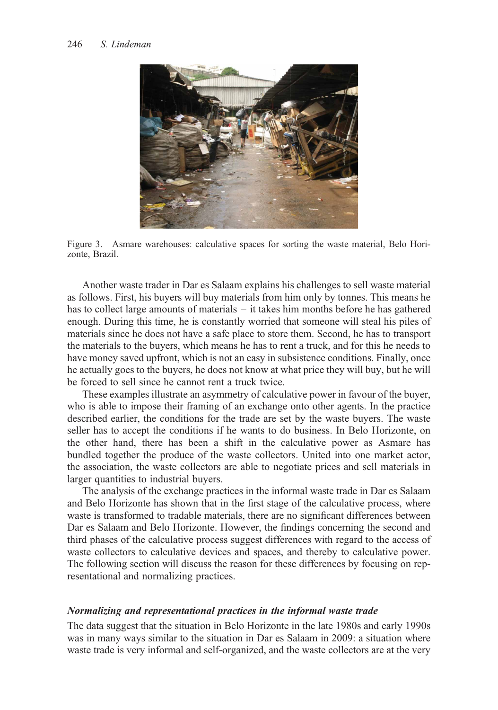

Figure 3. Asmare warehouses: calculative spaces for sorting the waste material, Belo Horizonte, Brazil.

Another waste trader in Dar es Salaam explains his challenges to sell waste material as follows. First, his buyers will buy materials from him only by tonnes. This means he has to collect large amounts of materials – it takes him months before he has gathered enough. During this time, he is constantly worried that someone will steal his piles of materials since he does not have a safe place to store them. Second, he has to transport the materials to the buyers, which means he has to rent a truck, and for this he needs to have money saved upfront, which is not an easy in subsistence conditions. Finally, once he actually goes to the buyers, he does not know at what price they will buy, but he will be forced to sell since he cannot rent a truck twice.

These examples illustrate an asymmetry of calculative power in favour of the buyer, who is able to impose their framing of an exchange onto other agents. In the practice described earlier, the conditions for the trade are set by the waste buyers. The waste seller has to accept the conditions if he wants to do business. In Belo Horizonte, on the other hand, there has been a shift in the calculative power as Asmare has bundled together the produce of the waste collectors. United into one market actor, the association, the waste collectors are able to negotiate prices and sell materials in larger quantities to industrial buyers.

The analysis of the exchange practices in the informal waste trade in Dar es Salaam and Belo Horizonte has shown that in the first stage of the calculative process, where waste is transformed to tradable materials, there are no significant differences between Dar es Salaam and Belo Horizonte. However, the findings concerning the second and third phases of the calculative process suggest differences with regard to the access of waste collectors to calculative devices and spaces, and thereby to calculative power. The following section will discuss the reason for these differences by focusing on representational and normalizing practices.

#### Normalizing and representational practices in the informal waste trade

The data suggest that the situation in Belo Horizonte in the late 1980s and early 1990s was in many ways similar to the situation in Dar es Salaam in 2009: a situation where waste trade is very informal and self-organized, and the waste collectors are at the very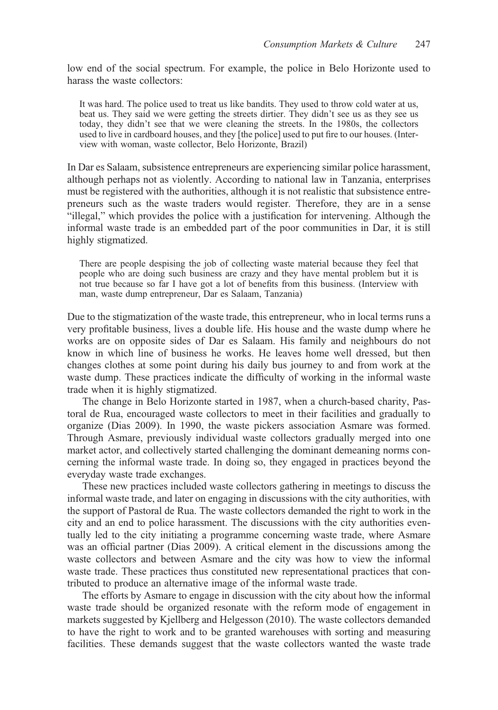low end of the social spectrum. For example, the police in Belo Horizonte used to harass the waste collectors:

It was hard. The police used to treat us like bandits. They used to throw cold water at us, beat us. They said we were getting the streets dirtier. They didn't see us as they see us today, they didn't see that we were cleaning the streets. In the 1980s, the collectors used to live in cardboard houses, and they [the police] used to put fire to our houses. (Interview with woman, waste collector, Belo Horizonte, Brazil)

In Dar es Salaam, subsistence entrepreneurs are experiencing similar police harassment, although perhaps not as violently. According to national law in Tanzania, enterprises must be registered with the authorities, although it is not realistic that subsistence entrepreneurs such as the waste traders would register. Therefore, they are in a sense "illegal," which provides the police with a justification for intervening. Although the informal waste trade is an embedded part of the poor communities in Dar, it is still highly stigmatized.

There are people despising the job of collecting waste material because they feel that people who are doing such business are crazy and they have mental problem but it is not true because so far I have got a lot of benefits from this business. (Interview with man, waste dump entrepreneur, Dar es Salaam, Tanzania)

Due to the stigmatization of the waste trade, this entrepreneur, who in local terms runs a very profitable business, lives a double life. His house and the waste dump where he works are on opposite sides of Dar es Salaam. His family and neighbours do not know in which line of business he works. He leaves home well dressed, but then changes clothes at some point during his daily bus journey to and from work at the waste dump. These practices indicate the difficulty of working in the informal waste trade when it is highly stigmatized.

The change in Belo Horizonte started in 1987, when a church-based charity, Pastoral de Rua, encouraged waste collectors to meet in their facilities and gradually to organize (Dias 2009). In 1990, the waste pickers association Asmare was formed. Through Asmare, previously individual waste collectors gradually merged into one market actor, and collectively started challenging the dominant demeaning norms concerning the informal waste trade. In doing so, they engaged in practices beyond the everyday waste trade exchanges.

These new practices included waste collectors gathering in meetings to discuss the informal waste trade, and later on engaging in discussions with the city authorities, with the support of Pastoral de Rua. The waste collectors demanded the right to work in the city and an end to police harassment. The discussions with the city authorities eventually led to the city initiating a programme concerning waste trade, where Asmare was an official partner (Dias 2009). A critical element in the discussions among the waste collectors and between Asmare and the city was how to view the informal waste trade. These practices thus constituted new representational practices that contributed to produce an alternative image of the informal waste trade.

The efforts by Asmare to engage in discussion with the city about how the informal waste trade should be organized resonate with the reform mode of engagement in markets suggested by Kjellberg and Helgesson (2010). The waste collectors demanded to have the right to work and to be granted warehouses with sorting and measuring facilities. These demands suggest that the waste collectors wanted the waste trade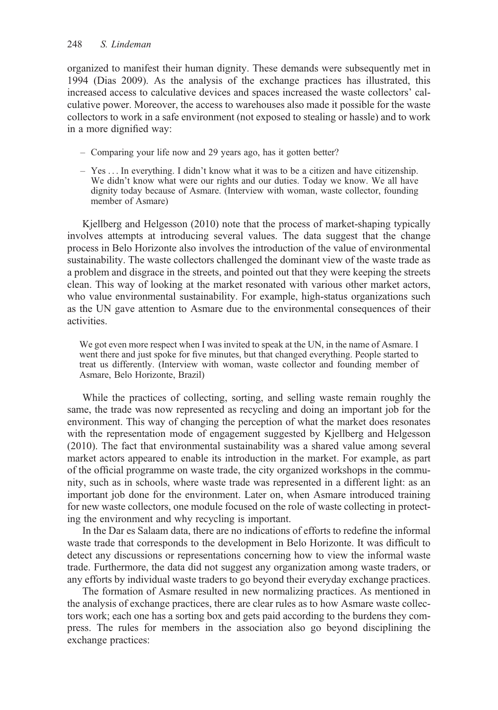organized to manifest their human dignity. These demands were subsequently met in 1994 (Dias 2009). As the analysis of the exchange practices has illustrated, this increased access to calculative devices and spaces increased the waste collectors' calculative power. Moreover, the access to warehouses also made it possible for the waste collectors to work in a safe environment (not exposed to stealing or hassle) and to work in a more dignified way:

- Comparing your life now and 29 years ago, has it gotten better?
- Yes ... In everything. I didn't know what it was to be a citizen and have citizenship. We didn't know what were our rights and our duties. Today we know. We all have dignity today because of Asmare. (Interview with woman, waste collector, founding member of Asmare)

Kjellberg and Helgesson (2010) note that the process of market-shaping typically involves attempts at introducing several values. The data suggest that the change process in Belo Horizonte also involves the introduction of the value of environmental sustainability. The waste collectors challenged the dominant view of the waste trade as a problem and disgrace in the streets, and pointed out that they were keeping the streets clean. This way of looking at the market resonated with various other market actors, who value environmental sustainability. For example, high-status organizations such as the UN gave attention to Asmare due to the environmental consequences of their activities.

We got even more respect when I was invited to speak at the UN, in the name of Asmare. I went there and just spoke for five minutes, but that changed everything. People started to treat us differently. (Interview with woman, waste collector and founding member of Asmare, Belo Horizonte, Brazil)

While the practices of collecting, sorting, and selling waste remain roughly the same, the trade was now represented as recycling and doing an important job for the environment. This way of changing the perception of what the market does resonates with the representation mode of engagement suggested by Kjellberg and Helgesson (2010). The fact that environmental sustainability was a shared value among several market actors appeared to enable its introduction in the market. For example, as part of the official programme on waste trade, the city organized workshops in the community, such as in schools, where waste trade was represented in a different light: as an important job done for the environment. Later on, when Asmare introduced training for new waste collectors, one module focused on the role of waste collecting in protecting the environment and why recycling is important.

In the Dar es Salaam data, there are no indications of efforts to redefine the informal waste trade that corresponds to the development in Belo Horizonte. It was difficult to detect any discussions or representations concerning how to view the informal waste trade. Furthermore, the data did not suggest any organization among waste traders, or any efforts by individual waste traders to go beyond their everyday exchange practices.

The formation of Asmare resulted in new normalizing practices. As mentioned in the analysis of exchange practices, there are clear rules as to how Asmare waste collectors work; each one has a sorting box and gets paid according to the burdens they compress. The rules for members in the association also go beyond disciplining the exchange practices: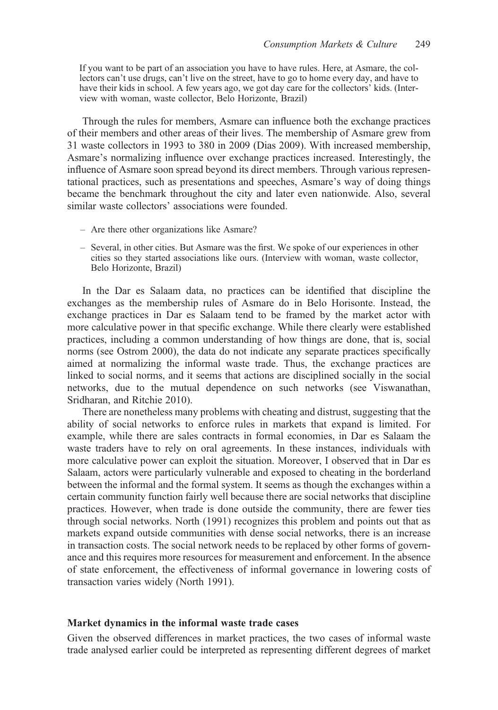If you want to be part of an association you have to have rules. Here, at Asmare, the collectors can't use drugs, can't live on the street, have to go to home every day, and have to have their kids in school. A few years ago, we got day care for the collectors' kids. (Interview with woman, waste collector, Belo Horizonte, Brazil)

Through the rules for members, Asmare can influence both the exchange practices of their members and other areas of their lives. The membership of Asmare grew from 31 waste collectors in 1993 to 380 in 2009 (Dias 2009). With increased membership, Asmare's normalizing influence over exchange practices increased. Interestingly, the influence of Asmare soon spread beyond its direct members. Through various representational practices, such as presentations and speeches, Asmare's way of doing things became the benchmark throughout the city and later even nationwide. Also, several similar waste collectors' associations were founded.

- Are there other organizations like Asmare?
- Several, in other cities. But Asmare was the first. We spoke of our experiences in other cities so they started associations like ours. (Interview with woman, waste collector, Belo Horizonte, Brazil)

In the Dar es Salaam data, no practices can be identified that discipline the exchanges as the membership rules of Asmare do in Belo Horisonte. Instead, the exchange practices in Dar es Salaam tend to be framed by the market actor with more calculative power in that specific exchange. While there clearly were established practices, including a common understanding of how things are done, that is, social norms (see Ostrom 2000), the data do not indicate any separate practices specifically aimed at normalizing the informal waste trade. Thus, the exchange practices are linked to social norms, and it seems that actions are disciplined socially in the social networks, due to the mutual dependence on such networks (see Viswanathan, Sridharan, and Ritchie 2010).

There are nonetheless many problems with cheating and distrust, suggesting that the ability of social networks to enforce rules in markets that expand is limited. For example, while there are sales contracts in formal economies, in Dar es Salaam the waste traders have to rely on oral agreements. In these instances, individuals with more calculative power can exploit the situation. Moreover, I observed that in Dar es Salaam, actors were particularly vulnerable and exposed to cheating in the borderland between the informal and the formal system. It seems as though the exchanges within a certain community function fairly well because there are social networks that discipline practices. However, when trade is done outside the community, there are fewer ties through social networks. North (1991) recognizes this problem and points out that as markets expand outside communities with dense social networks, there is an increase in transaction costs. The social network needs to be replaced by other forms of governance and this requires more resources for measurement and enforcement. In the absence of state enforcement, the effectiveness of informal governance in lowering costs of transaction varies widely (North 1991).

#### Market dynamics in the informal waste trade cases

Given the observed differences in market practices, the two cases of informal waste trade analysed earlier could be interpreted as representing different degrees of market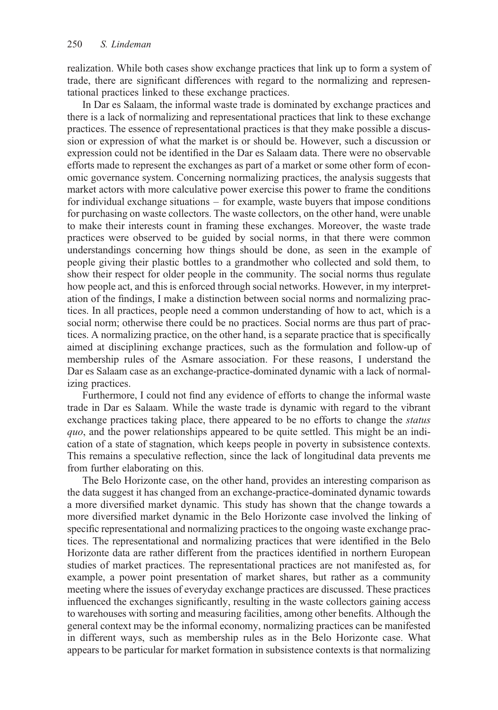realization. While both cases show exchange practices that link up to form a system of trade, there are significant differences with regard to the normalizing and representational practices linked to these exchange practices.

In Dar es Salaam, the informal waste trade is dominated by exchange practices and there is a lack of normalizing and representational practices that link to these exchange practices. The essence of representational practices is that they make possible a discussion or expression of what the market is or should be. However, such a discussion or expression could not be identified in the Dar es Salaam data. There were no observable efforts made to represent the exchanges as part of a market or some other form of economic governance system. Concerning normalizing practices, the analysis suggests that market actors with more calculative power exercise this power to frame the conditions for individual exchange situations – for example, waste buyers that impose conditions for purchasing on waste collectors. The waste collectors, on the other hand, were unable to make their interests count in framing these exchanges. Moreover, the waste trade practices were observed to be guided by social norms, in that there were common understandings concerning how things should be done, as seen in the example of people giving their plastic bottles to a grandmother who collected and sold them, to show their respect for older people in the community. The social norms thus regulate how people act, and this is enforced through social networks. However, in my interpretation of the findings, I make a distinction between social norms and normalizing practices. In all practices, people need a common understanding of how to act, which is a social norm; otherwise there could be no practices. Social norms are thus part of practices. A normalizing practice, on the other hand, is a separate practice that is specifically aimed at disciplining exchange practices, such as the formulation and follow-up of membership rules of the Asmare association. For these reasons, I understand the Dar es Salaam case as an exchange-practice-dominated dynamic with a lack of normalizing practices.

Furthermore, I could not find any evidence of efforts to change the informal waste trade in Dar es Salaam. While the waste trade is dynamic with regard to the vibrant exchange practices taking place, there appeared to be no efforts to change the status quo, and the power relationships appeared to be quite settled. This might be an indication of a state of stagnation, which keeps people in poverty in subsistence contexts. This remains a speculative reflection, since the lack of longitudinal data prevents me from further elaborating on this.

The Belo Horizonte case, on the other hand, provides an interesting comparison as the data suggest it has changed from an exchange-practice-dominated dynamic towards a more diversified market dynamic. This study has shown that the change towards a more diversified market dynamic in the Belo Horizonte case involved the linking of specific representational and normalizing practices to the ongoing waste exchange practices. The representational and normalizing practices that were identified in the Belo Horizonte data are rather different from the practices identified in northern European studies of market practices. The representational practices are not manifested as, for example, a power point presentation of market shares, but rather as a community meeting where the issues of everyday exchange practices are discussed. These practices influenced the exchanges significantly, resulting in the waste collectors gaining access to warehouses with sorting and measuring facilities, among other benefits. Although the general context may be the informal economy, normalizing practices can be manifested in different ways, such as membership rules as in the Belo Horizonte case. What appears to be particular for market formation in subsistence contexts is that normalizing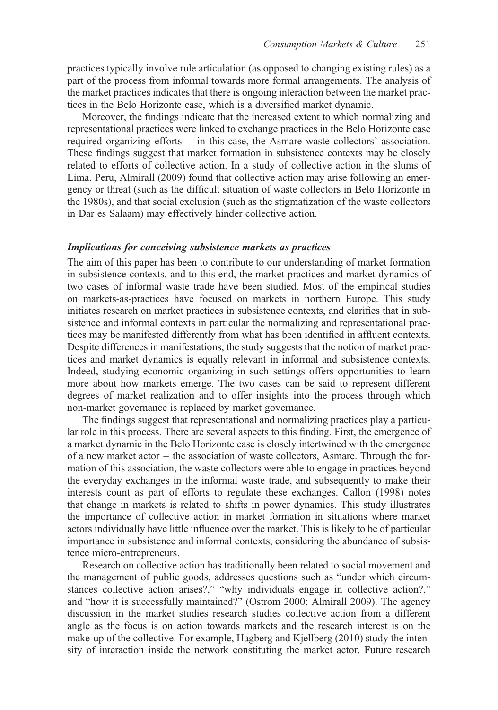practices typically involve rule articulation (as opposed to changing existing rules) as a part of the process from informal towards more formal arrangements. The analysis of the market practices indicates that there is ongoing interaction between the market practices in the Belo Horizonte case, which is a diversified market dynamic.

Moreover, the findings indicate that the increased extent to which normalizing and representational practices were linked to exchange practices in the Belo Horizonte case required organizing efforts – in this case, the Asmare waste collectors' association. These findings suggest that market formation in subsistence contexts may be closely related to efforts of collective action. In a study of collective action in the slums of Lima, Peru, Almirall (2009) found that collective action may arise following an emergency or threat (such as the difficult situation of waste collectors in Belo Horizonte in the 1980s), and that social exclusion (such as the stigmatization of the waste collectors in Dar es Salaam) may effectively hinder collective action.

### Implications for conceiving subsistence markets as practices

The aim of this paper has been to contribute to our understanding of market formation in subsistence contexts, and to this end, the market practices and market dynamics of two cases of informal waste trade have been studied. Most of the empirical studies on markets-as-practices have focused on markets in northern Europe. This study initiates research on market practices in subsistence contexts, and clarifies that in subsistence and informal contexts in particular the normalizing and representational practices may be manifested differently from what has been identified in affluent contexts. Despite differences in manifestations, the study suggests that the notion of market practices and market dynamics is equally relevant in informal and subsistence contexts. Indeed, studying economic organizing in such settings offers opportunities to learn more about how markets emerge. The two cases can be said to represent different degrees of market realization and to offer insights into the process through which non-market governance is replaced by market governance.

The findings suggest that representational and normalizing practices play a particular role in this process. There are several aspects to this finding. First, the emergence of a market dynamic in the Belo Horizonte case is closely intertwined with the emergence of a new market actor – the association of waste collectors, Asmare. Through the formation of this association, the waste collectors were able to engage in practices beyond the everyday exchanges in the informal waste trade, and subsequently to make their interests count as part of efforts to regulate these exchanges. Callon (1998) notes that change in markets is related to shifts in power dynamics. This study illustrates the importance of collective action in market formation in situations where market actors individually have little influence over the market. This is likely to be of particular importance in subsistence and informal contexts, considering the abundance of subsistence micro-entrepreneurs.

Research on collective action has traditionally been related to social movement and the management of public goods, addresses questions such as "under which circumstances collective action arises?," "why individuals engage in collective action?," and "how it is successfully maintained?" (Ostrom 2000; Almirall 2009). The agency discussion in the market studies research studies collective action from a different angle as the focus is on action towards markets and the research interest is on the make-up of the collective. For example, Hagberg and Kjellberg (2010) study the intensity of interaction inside the network constituting the market actor. Future research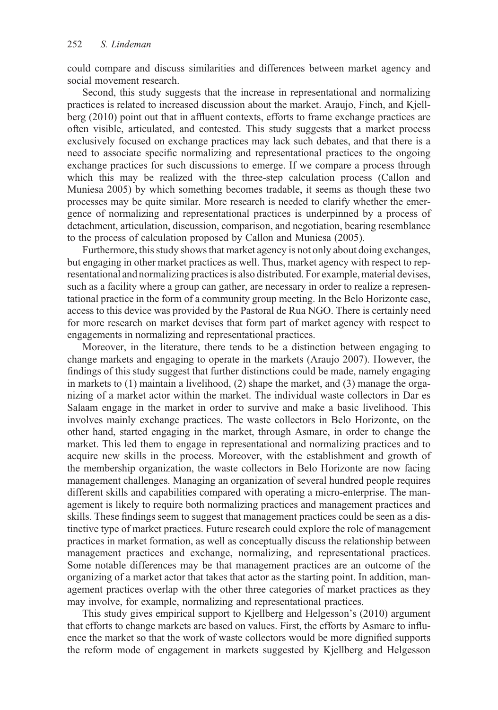could compare and discuss similarities and differences between market agency and social movement research.

Second, this study suggests that the increase in representational and normalizing practices is related to increased discussion about the market. Araujo, Finch, and Kjellberg (2010) point out that in affluent contexts, efforts to frame exchange practices are often visible, articulated, and contested. This study suggests that a market process exclusively focused on exchange practices may lack such debates, and that there is a need to associate specific normalizing and representational practices to the ongoing exchange practices for such discussions to emerge. If we compare a process through which this may be realized with the three-step calculation process (Callon and Muniesa 2005) by which something becomes tradable, it seems as though these two processes may be quite similar. More research is needed to clarify whether the emergence of normalizing and representational practices is underpinned by a process of detachment, articulation, discussion, comparison, and negotiation, bearing resemblance to the process of calculation proposed by Callon and Muniesa (2005).

Furthermore, this study shows that market agency is not only about doing exchanges, but engaging in other market practices as well. Thus, market agency with respect to representational and normalizing practices is also distributed. For example, material devises, such as a facility where a group can gather, are necessary in order to realize a representational practice in the form of a community group meeting. In the Belo Horizonte case, access to this device was provided by the Pastoral de Rua NGO. There is certainly need for more research on market devises that form part of market agency with respect to engagements in normalizing and representational practices.

Moreover, in the literature, there tends to be a distinction between engaging to change markets and engaging to operate in the markets (Araujo 2007). However, the findings of this study suggest that further distinctions could be made, namely engaging in markets to (1) maintain a livelihood, (2) shape the market, and (3) manage the organizing of a market actor within the market. The individual waste collectors in Dar es Salaam engage in the market in order to survive and make a basic livelihood. This involves mainly exchange practices. The waste collectors in Belo Horizonte, on the other hand, started engaging in the market, through Asmare, in order to change the market. This led them to engage in representational and normalizing practices and to acquire new skills in the process. Moreover, with the establishment and growth of the membership organization, the waste collectors in Belo Horizonte are now facing management challenges. Managing an organization of several hundred people requires different skills and capabilities compared with operating a micro-enterprise. The management is likely to require both normalizing practices and management practices and skills. These findings seem to suggest that management practices could be seen as a distinctive type of market practices. Future research could explore the role of management practices in market formation, as well as conceptually discuss the relationship between management practices and exchange, normalizing, and representational practices. Some notable differences may be that management practices are an outcome of the organizing of a market actor that takes that actor as the starting point. In addition, management practices overlap with the other three categories of market practices as they may involve, for example, normalizing and representational practices.

This study gives empirical support to Kjellberg and Helgesson's (2010) argument that efforts to change markets are based on values. First, the efforts by Asmare to influence the market so that the work of waste collectors would be more dignified supports the reform mode of engagement in markets suggested by Kjellberg and Helgesson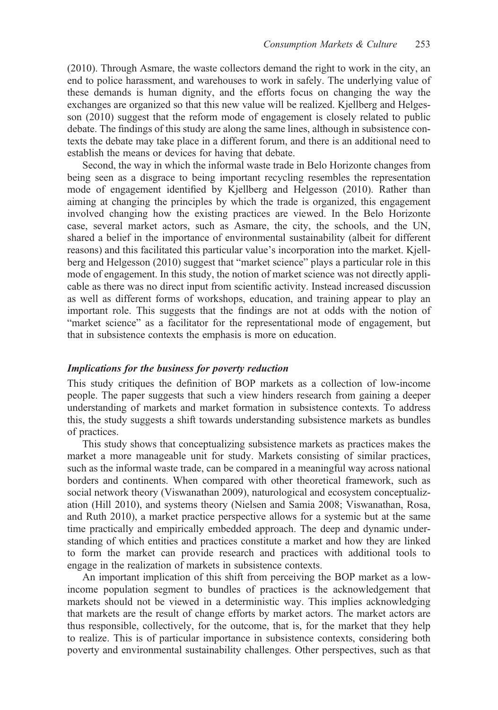(2010). Through Asmare, the waste collectors demand the right to work in the city, an end to police harassment, and warehouses to work in safely. The underlying value of these demands is human dignity, and the efforts focus on changing the way the exchanges are organized so that this new value will be realized. Kjellberg and Helgesson (2010) suggest that the reform mode of engagement is closely related to public debate. The findings of this study are along the same lines, although in subsistence contexts the debate may take place in a different forum, and there is an additional need to establish the means or devices for having that debate.

Second, the way in which the informal waste trade in Belo Horizonte changes from being seen as a disgrace to being important recycling resembles the representation mode of engagement identified by Kjellberg and Helgesson (2010). Rather than aiming at changing the principles by which the trade is organized, this engagement involved changing how the existing practices are viewed. In the Belo Horizonte case, several market actors, such as Asmare, the city, the schools, and the UN, shared a belief in the importance of environmental sustainability (albeit for different reasons) and this facilitated this particular value's incorporation into the market. Kjellberg and Helgesson (2010) suggest that "market science" plays a particular role in this mode of engagement. In this study, the notion of market science was not directly applicable as there was no direct input from scientific activity. Instead increased discussion as well as different forms of workshops, education, and training appear to play an important role. This suggests that the findings are not at odds with the notion of "market science" as a facilitator for the representational mode of engagement, but that in subsistence contexts the emphasis is more on education.

#### Implications for the business for poverty reduction

This study critiques the definition of BOP markets as a collection of low-income people. The paper suggests that such a view hinders research from gaining a deeper understanding of markets and market formation in subsistence contexts. To address this, the study suggests a shift towards understanding subsistence markets as bundles of practices.

This study shows that conceptualizing subsistence markets as practices makes the market a more manageable unit for study. Markets consisting of similar practices, such as the informal waste trade, can be compared in a meaningful way across national borders and continents. When compared with other theoretical framework, such as social network theory (Viswanathan 2009), naturological and ecosystem conceptualization (Hill 2010), and systems theory (Nielsen and Samia 2008; Viswanathan, Rosa, and Ruth 2010), a market practice perspective allows for a systemic but at the same time practically and empirically embedded approach. The deep and dynamic understanding of which entities and practices constitute a market and how they are linked to form the market can provide research and practices with additional tools to engage in the realization of markets in subsistence contexts.

An important implication of this shift from perceiving the BOP market as a lowincome population segment to bundles of practices is the acknowledgement that markets should not be viewed in a deterministic way. This implies acknowledging that markets are the result of change efforts by market actors. The market actors are thus responsible, collectively, for the outcome, that is, for the market that they help to realize. This is of particular importance in subsistence contexts, considering both poverty and environmental sustainability challenges. Other perspectives, such as that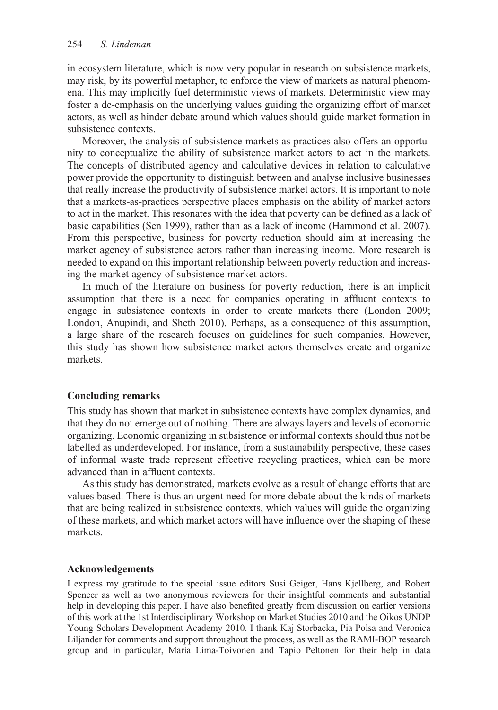in ecosystem literature, which is now very popular in research on subsistence markets, may risk, by its powerful metaphor, to enforce the view of markets as natural phenomena. This may implicitly fuel deterministic views of markets. Deterministic view may foster a de-emphasis on the underlying values guiding the organizing effort of market actors, as well as hinder debate around which values should guide market formation in subsistence contexts.

Moreover, the analysis of subsistence markets as practices also offers an opportunity to conceptualize the ability of subsistence market actors to act in the markets. The concepts of distributed agency and calculative devices in relation to calculative power provide the opportunity to distinguish between and analyse inclusive businesses that really increase the productivity of subsistence market actors. It is important to note that a markets-as-practices perspective places emphasis on the ability of market actors to act in the market. This resonates with the idea that poverty can be defined as a lack of basic capabilities (Sen 1999), rather than as a lack of income (Hammond et al. 2007). From this perspective, business for poverty reduction should aim at increasing the market agency of subsistence actors rather than increasing income. More research is needed to expand on this important relationship between poverty reduction and increasing the market agency of subsistence market actors.

In much of the literature on business for poverty reduction, there is an implicit assumption that there is a need for companies operating in affluent contexts to engage in subsistence contexts in order to create markets there (London 2009; London, Anupindi, and Sheth 2010). Perhaps, as a consequence of this assumption, a large share of the research focuses on guidelines for such companies. However, this study has shown how subsistence market actors themselves create and organize markets.

# Concluding remarks

This study has shown that market in subsistence contexts have complex dynamics, and that they do not emerge out of nothing. There are always layers and levels of economic organizing. Economic organizing in subsistence or informal contexts should thus not be labelled as underdeveloped. For instance, from a sustainability perspective, these cases of informal waste trade represent effective recycling practices, which can be more advanced than in affluent contexts.

As this study has demonstrated, markets evolve as a result of change efforts that are values based. There is thus an urgent need for more debate about the kinds of markets that are being realized in subsistence contexts, which values will guide the organizing of these markets, and which market actors will have influence over the shaping of these markets.

# Acknowledgements

I express my gratitude to the special issue editors Susi Geiger, Hans Kjellberg, and Robert Spencer as well as two anonymous reviewers for their insightful comments and substantial help in developing this paper. I have also benefited greatly from discussion on earlier versions of this work at the 1st Interdisciplinary Workshop on Market Studies 2010 and the Oikos UNDP Young Scholars Development Academy 2010. I thank Kaj Storbacka, Pia Polsa and Veronica Liljander for comments and support throughout the process, as well as the RAMI-BOP research group and in particular, Maria Lima-Toivonen and Tapio Peltonen for their help in data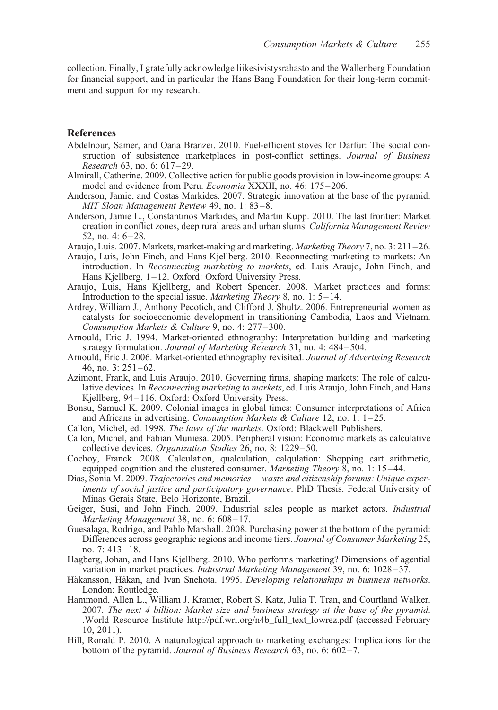collection. Finally, I gratefully acknowledge liikesivistysrahasto and the Wallenberg Foundation for financial support, and in particular the Hans Bang Foundation for their long-term commitment and support for my research.

#### References

- Abdelnour, Samer, and Oana Branzei. 2010. Fuel-efficient stoves for Darfur: The social construction of subsistence marketplaces in post-conflict settings. Journal of Business Research 63, no. 6: 617–29.
- Almirall, Catherine. 2009. Collective action for public goods provision in low-income groups: A model and evidence from Peru. Economia XXXII, no. 46: 175–206.
- Anderson, Jamie, and Costas Markides. 2007. Strategic innovation at the base of the pyramid. MIT Sloan Management Review 49, no. 1: 83–8.
- Anderson, Jamie L., Constantinos Markides, and Martin Kupp. 2010. The last frontier: Market creation in conflict zones, deep rural areas and urban slums. California Management Review 52, no. 4: 6–28.
- Araujo, Luis. 2007. Markets, market-making and marketing. Marketing Theory 7, no. 3: 211–26.
- Araujo, Luis, John Finch, and Hans Kjellberg. 2010. Reconnecting marketing to markets: An introduction. In Reconnecting marketing to markets, ed. Luis Araujo, John Finch, and Hans Kjellberg, 1–12. Oxford: Oxford University Press.
- Araujo, Luis, Hans Kjellberg, and Robert Spencer. 2008. Market practices and forms: Introduction to the special issue. *Marketing Theory* 8, no. 1: 5–14.
- Ardrey, William J., Anthony Pecotich, and Clifford J. Shultz. 2006. Entrepreneurial women as catalysts for socioeconomic development in transitioning Cambodia, Laos and Vietnam. Consumption Markets & Culture 9, no. 4: 277–300.
- Arnould, Eric J. 1994. Market-oriented ethnography: Interpretation building and marketing strategy formulation. Journal of Marketing Research 31, no. 4: 484–504.
- Arnould, Eric J. 2006. Market-oriented ethnography revisited. Journal of Advertising Research 46, no. 3: 251–62.
- Azimont, Frank, and Luis Araujo. 2010. Governing firms, shaping markets: The role of calculative devices. In *Reconnecting marketing to markets*, ed. Luis Araujo, John Finch, and Hans Kjellberg, 94–116. Oxford: Oxford University Press.
- Bonsu, Samuel K. 2009. Colonial images in global times: Consumer interpretations of Africa and Africans in advertising. Consumption Markets & Culture 12, no.  $1: 1-25$ .
- Callon, Michel, ed. 1998. The laws of the markets. Oxford: Blackwell Publishers.
- Callon, Michel, and Fabian Muniesa. 2005. Peripheral vision: Economic markets as calculative collective devices. Organization Studies 26, no. 8: 1229–50.
- Cochoy, Franck. 2008. Calculation, qualculation, calqulation: Shopping cart arithmetic, equipped cognition and the clustered consumer. Marketing Theory 8, no. 1: 15–44.
- Dias, Sonia M. 2009. Trajectories and memories waste and citizenship forums: Unique experiments of social justice and participatory governance. PhD Thesis. Federal University of Minas Gerais State, Belo Horizonte, Brazil.
- Geiger, Susi, and John Finch. 2009. Industrial sales people as market actors. Industrial Marketing Management 38, no. 6: 608-17.
- Guesalaga, Rodrigo, and Pablo Marshall. 2008. Purchasing power at the bottom of the pyramid: Differences across geographic regions and income tiers. Journal of Consumer Marketing 25, no. 7: 413–18.
- Hagberg, Johan, and Hans Kjellberg. 2010. Who performs marketing? Dimensions of agential variation in market practices. Industrial Marketing Management 39, no. 6: 1028–37.
- Håkansson, Håkan, and Ivan Snehota. 1995. Developing relationships in business networks. London: Routledge.
- Hammond, Allen L., William J. Kramer, Robert S. Katz, Julia T. Tran, and Courtland Walker. 2007. The next 4 billion: Market size and business strategy at the base of the pyramid. .World Resource Institute http://pdf.wri.org/n4b\_full\_text\_lowrez.pdf (accessed February 10, 2011).
- Hill, Ronald P. 2010. A naturological approach to marketing exchanges: Implications for the bottom of the pyramid. Journal of Business Research 63, no. 6: 602-7.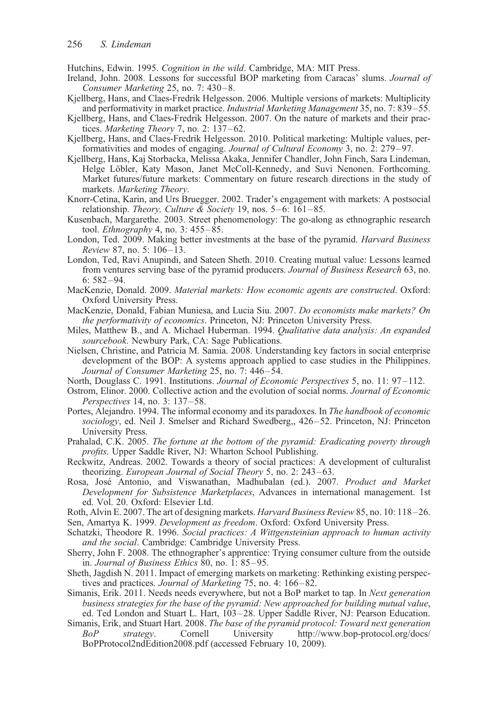Hutchins, Edwin. 1995. Cognition in the wild. Cambridge, MA: MIT Press.

- Ireland, John. 2008. Lessons for successful BOP marketing from Caracas' slums. Journal of Consumer Marketing 25, no. 7: 430–8.
- Kjellberg, Hans, and Claes-Fredrik Helgesson. 2006. Multiple versions of markets: Multiplicity and performativity in market practice. Industrial Marketing Management 35, no. 7: 839–55.
- Kjellberg, Hans, and Claes-Fredrik Helgesson. 2007. On the nature of markets and their practices. Marketing Theory 7, no. 2: 137–62.
- Kjellberg, Hans, and Claes-Fredrik Helgesson. 2010. Political marketing: Multiple values, performativities and modes of engaging. Journal of Cultural Economy 3, no. 2: 279–97.
- Kjellberg, Hans, Kaj Storbacka, Melissa Akaka, Jennifer Chandler, John Finch, Sara Lindeman, Helge Löbler, Katy Mason, Janet McColl-Kennedy, and Suvi Nenonen. Forthcoming. Market futures/future markets: Commentary on future research directions in the study of markets. Marketing Theory.
- Knorr-Cetina, Karin, and Urs Bruegger. 2002. Trader's engagement with markets: A postsocial relationship. Theory, Culture & Society 19, nos.  $5-6$ :  $161-85$ .
- Kusenbach, Margarethe. 2003. Street phenomenology: The go-along as ethnographic research tool. *Ethnography* 4, no. 3:  $455-\overline{85}$ .
- London, Ted. 2009. Making better investments at the base of the pyramid. Harvard Business Review 87, no. 5: 106–13.
- London, Ted, Ravi Anupindi, and Sateen Sheth. 2010. Creating mutual value: Lessons learned from ventures serving base of the pyramid producers. Journal of Business Research 63, no. 6: 582–94.
- MacKenzie, Donald. 2009. Material markets: How economic agents are constructed. Oxford: Oxford University Press.
- MacKenzie, Donald, Fabian Muniesa, and Lucia Siu. 2007. Do economists make markets? On the performativity of economics. Princeton, NJ: Princeton University Press.
- Miles, Matthew B., and A. Michael Huberman. 1994. *Qualitative data analysis: An expanded* sourcebook. Newbury Park, CA: Sage Publications.
- Nielsen, Christine, and Patricia M. Samia. 2008. Understanding key factors in social enterprise development of the BOP: A systems approach applied to case studies in the Philippines. Journal of Consumer Marketing 25, no. 7: 446–54.
- North, Douglass C. 1991. Institutions. Journal of Economic Perspectives 5, no. 11: 97–112.
- Ostrom, Elinor. 2000. Collective action and the evolution of social norms. Journal of Economic Perspectives 14, no. 3: 137–58.
- Portes, Alejandro. 1994. The informal economy and its paradoxes. In The handbook of economic sociology, ed. Neil J. Smelser and Richard Swedberg,, 426-52. Princeton, NJ: Princeton University Press.
- Prahalad, C.K. 2005. The fortune at the bottom of the pyramid: Eradicating poverty through profits. Upper Saddle River, NJ: Wharton School Publishing.
- Reckwitz, Andreas. 2002. Towards a theory of social practices: A development of culturalist theorizing. European Journal of Social Theory 5, no. 2: 243–63.
- Rosa, Jose´ Antonio, and Viswanathan, Madhubalan (ed.). 2007. Product and Market Development for Subsistence Marketplaces, Advances in international management. 1st ed. Vol. 20. Oxford: Elsevier Ltd.
- Roth, Alvin E. 2007. The art of designing markets. Harvard Business Review 85, no. 10: 118–26.

Sen, Amartya K. 1999. Development as freedom. Oxford: Oxford University Press.

- Schatzki, Theodore R. 1996. Social practices: A Wittgensteinian approach to human activity and the social. Cambridge: Cambridge University Press.
- Sherry, John F. 2008. The ethnographer's apprentice: Trying consumer culture from the outside in. Journal of Business Ethics 80, no. 1: 85–95.
- Sheth, Jagdish N. 2011. Impact of emerging markets on marketing: Rethinking existing perspectives and practices. Journal of Marketing 75, no. 4: 166–82.
- Simanis, Erik. 2011. Needs needs everywhere, but not a BoP market to tap. In Next generation business strategies for the base of the pyramid: New approached for building mutual value, ed. Ted London and Stuart L. Hart, 103–28. Upper Saddle River, NJ: Pearson Education.
- Simanis, Erik, and Stuart Hart. 2008. The base of the pyramid protocol: Toward next generation BoP strategy. Cornell University http://www.bop-protocol.org/docs/ strategy. Cornell University http://www.bop-protocol.org/docs/ BoPProtocol2ndEdition2008.pdf (accessed February 10, 2009).